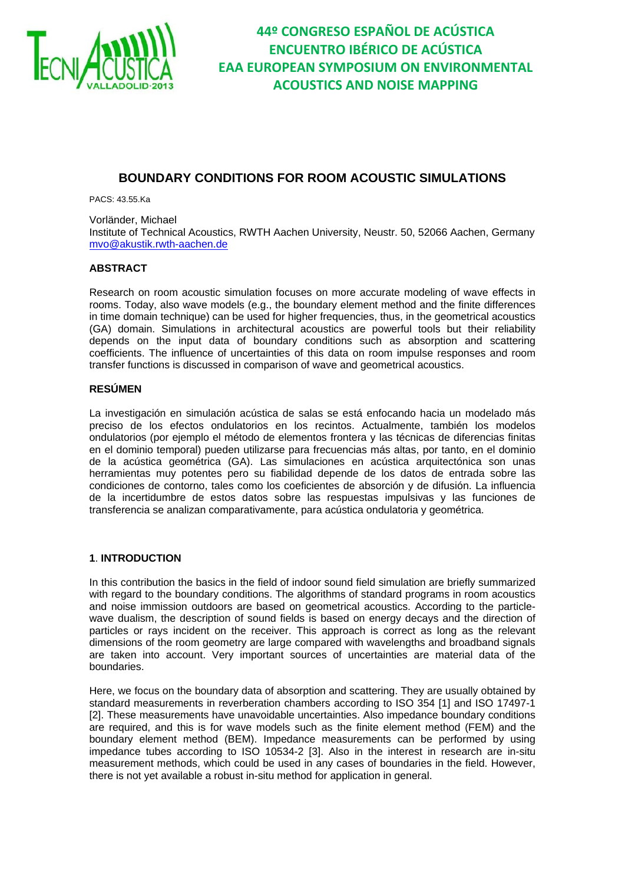

### **BOUNDARY CONDITIONS FOR ROOM ACOUSTIC SIMULATIONS**

PACS: 43.55.Ka

Vorländer, Michael Institute of Technical Acoustics, RWTH Aachen University, Neustr. 50, 52066 Aachen, Germany mvo@akustik.rwth-aachen.de

#### **ABSTRACT**

Research on room acoustic simulation focuses on more accurate modeling of wave effects in rooms. Today, also wave models (e.g., the boundary element method and the finite differences in time domain technique) can be used for higher frequencies, thus, in the geometrical acoustics (GA) domain. Simulations in architectural acoustics are powerful tools but their reliability depends on the input data of boundary conditions such as absorption and scattering coefficients. The influence of uncertainties of this data on room impulse responses and room transfer functions is discussed in comparison of wave and geometrical acoustics.

#### **RESÚMEN**

La investigación en simulación acústica de salas se está enfocando hacia un modelado más preciso de los efectos ondulatorios en los recintos. Actualmente, también los modelos ondulatorios (por ejemplo el método de elementos frontera y las técnicas de diferencias finitas en el dominio temporal) pueden utilizarse para frecuencias más altas, por tanto, en el dominio de la acústica geométrica (GA). Las simulaciones en acústica arquitectónica son unas herramientas muy potentes pero su fiabilidad depende de los datos de entrada sobre las condiciones de contorno, tales como los coeficientes de absorción y de difusión. La influencia de la incertidumbre de estos datos sobre las respuestas impulsivas y las funciones de transferencia se analizan comparativamente, para acústica ondulatoria y geométrica.

#### **1**. **INTRODUCTION**

In this contribution the basics in the field of indoor sound field simulation are briefly summarized with regard to the boundary conditions. The algorithms of standard programs in room acoustics and noise immission outdoors are based on geometrical acoustics. According to the particlewave dualism, the description of sound fields is based on energy decays and the direction of particles or rays incident on the receiver. This approach is correct as long as the relevant dimensions of the room geometry are large compared with wavelengths and broadband signals are taken into account. Very important sources of uncertainties are material data of the boundaries.

Here, we focus on the boundary data of absorption and scattering. They are usually obtained by standard measurements in reverberation chambers according to ISO 354 [1] and ISO 17497-1 [2]. These measurements have unavoidable uncertainties. Also impedance boundary conditions are required, and this is for wave models such as the finite element method (FEM) and the boundary element method (BEM). Impedance measurements can be performed by using impedance tubes according to ISO 10534-2 [3]. Also in the interest in research are in-situ measurement methods, which could be used in any cases of boundaries in the field. However, there is not yet available a robust in-situ method for application in general.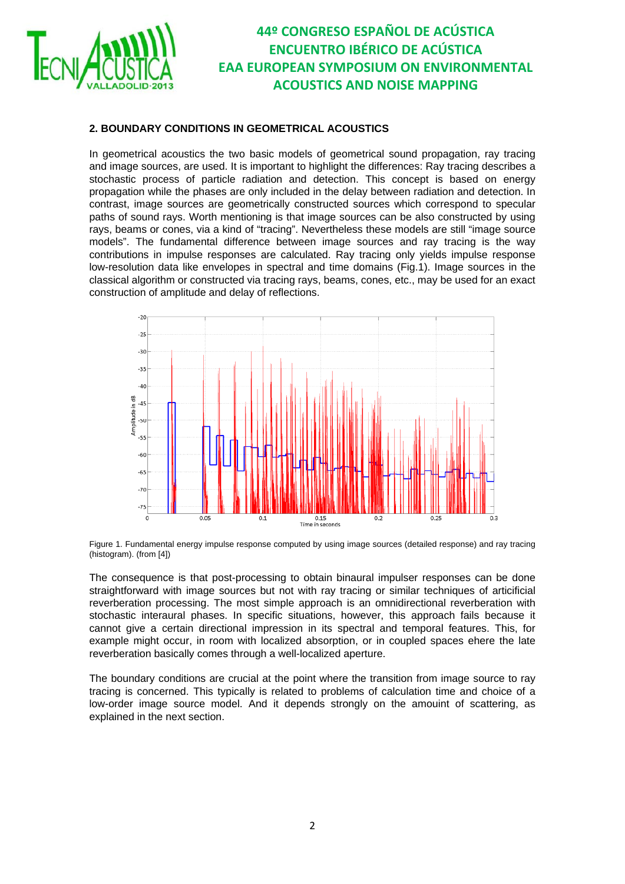

### **2. BOUNDARY CONDITIONS IN GEOMETRICAL ACOUSTICS**

In geometrical acoustics the two basic models of geometrical sound propagation, ray tracing and image sources, are used. It is important to highlight the differences: Ray tracing describes a stochastic process of particle radiation and detection. This concept is based on energy propagation while the phases are only included in the delay between radiation and detection. In contrast, image sources are geometrically constructed sources which correspond to specular paths of sound rays. Worth mentioning is that image sources can be also constructed by using rays, beams or cones, via a kind of "tracing". Nevertheless these models are still "image source models". The fundamental difference between image sources and ray tracing is the way contributions in impulse responses are calculated. Ray tracing only yields impulse response low-resolution data like envelopes in spectral and time domains (Fig.1). Image sources in the classical algorithm or constructed via tracing rays, beams, cones, etc., may be used for an exact construction of amplitude and delay of reflections.



Figure 1. Fundamental energy impulse response computed by using image sources (detailed response) and ray tracing (histogram). (from [4])

The consequence is that post-processing to obtain binaural impulser responses can be done straightforward with image sources but not with ray tracing or similar techniques of articificial reverberation processing. The most simple approach is an omnidirectional reverberation with stochastic interaural phases. In specific situations, however, this approach fails because it cannot give a certain directional impression in its spectral and temporal features. This, for example might occur, in room with localized absorption, or in coupled spaces ehere the late reverberation basically comes through a well-localized aperture.

The boundary conditions are crucial at the point where the transition from image source to ray tracing is concerned. This typically is related to problems of calculation time and choice of a low-order image source model. And it depends strongly on the amouint of scattering, as explained in the next section.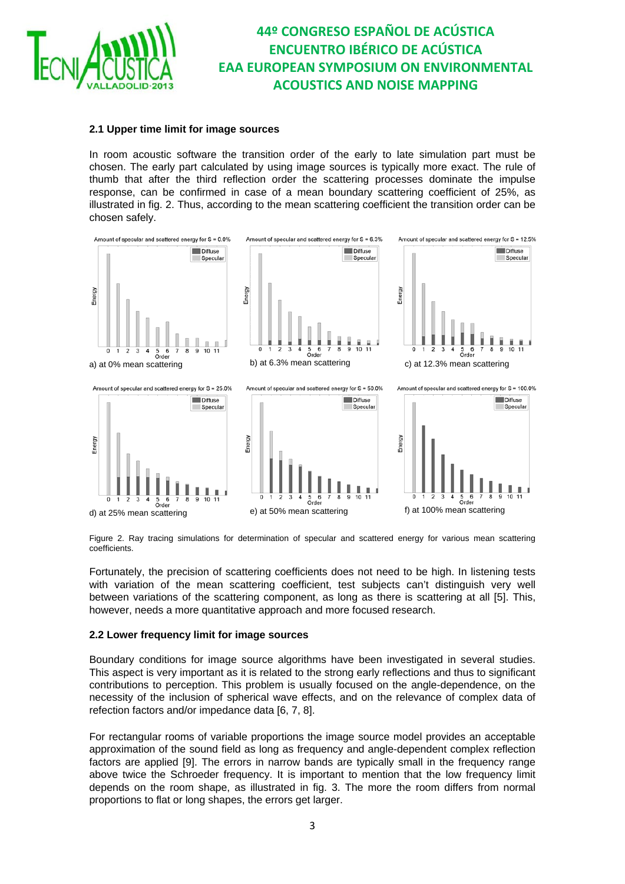

#### **2.1 Upper time limit for image sources**

In room acoustic software the transition order of the early to late simulation part must be chosen. The early part calculated by using image sources is typically more exact. The rule of thumb that after the third reflection order the scattering processes dominate the impulse response, can be confirmed in case of a mean boundary scattering coefficient of 25%, as illustrated in fig. 2. Thus, according to the mean scattering coefficient the transition order can be chosen safely.



Figure 2. Ray tracing simulations for determination of specular and scattered energy for various mean scattering coefficients.

Fortunately, the precision of scattering coefficients does not need to be high. In listening tests with variation of the mean scattering coefficient, test subjects can't distinguish very well between variations of the scattering component, as long as there is scattering at all [5]. This, however, needs a more quantitative approach and more focused research.

#### **2.2 Lower frequency limit for image sources**

Boundary conditions for image source algorithms have been investigated in several studies. This aspect is very important as it is related to the strong early reflections and thus to significant contributions to perception. This problem is usually focused on the angle-dependence, on the necessity of the inclusion of spherical wave effects, and on the relevance of complex data of refection factors and/or impedance data [6, 7, 8].

For rectangular rooms of variable proportions the image source model provides an acceptable approximation of the sound field as long as frequency and angle-dependent complex reflection factors are applied [9]. The errors in narrow bands are typically small in the frequency range above twice the Schroeder frequency. It is important to mention that the low frequency limit depends on the room shape, as illustrated in fig. 3. The more the room differs from normal proportions to flat or long shapes, the errors get larger.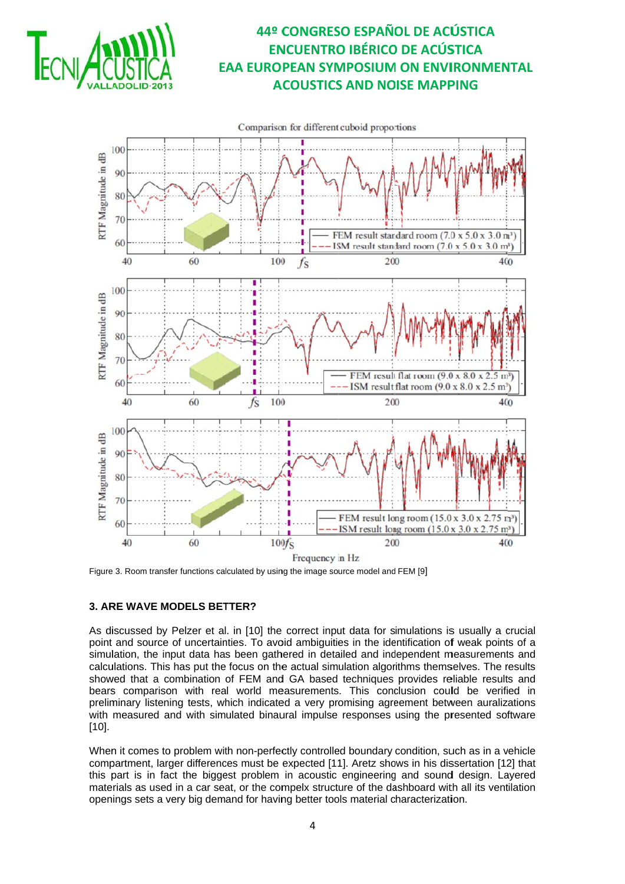



Figure 3. Room transfer functions calculated by using the image source model and FEM [9]

### 3. ARE WAVE MODELS BETTER?

As discussed by Pelzer et al. in [10] the correct input data for simulations is usually a crucial point and source of uncertainties. To avoid ambiguities in the identification of weak points of a simulation, the input data has been gathered in detailed and independent measurements and calculations. This has put the focus on the actual simulation algorithms themselves. The results showed that a combination of FEM and GA based techniques provides reliable results and bears comparison with real world measurements. This conclusion could be verified in preliminary listening tests, which indicated a very promising agreement between auralizations with measured and with simulated binaural impulse responses using the presented software  $[10]$ .

When it comes to problem with non-perfectly controlled boundary condition, such as in a vehicle compartment. larger differences must be expected [11]. Aretz shows in his dissertation [12] that this part is in fact the biggest problem in acoustic engineering and sound design. Layered materials as used in a car seat, or the compelx structure of the dashboard with all its ventilation openings sets a very big demand for having better tools material characterization.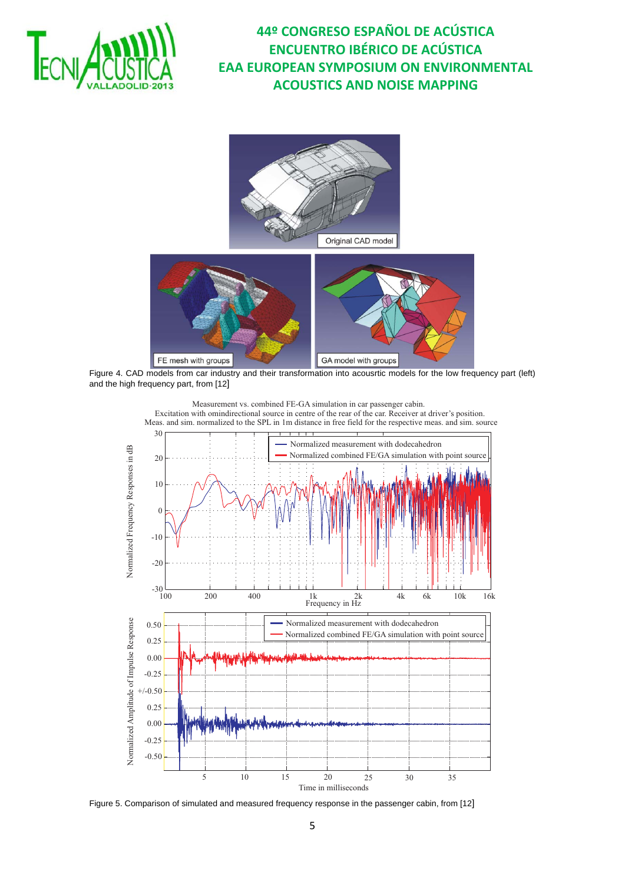





Figure 4. CAD models from car industry and their transformation into acousrtic models for the low frequency part (left) and the high frequency part, from [12]



Figure 5. Comparison of simulated and measured frequency response in the passenger cabin, from [12]